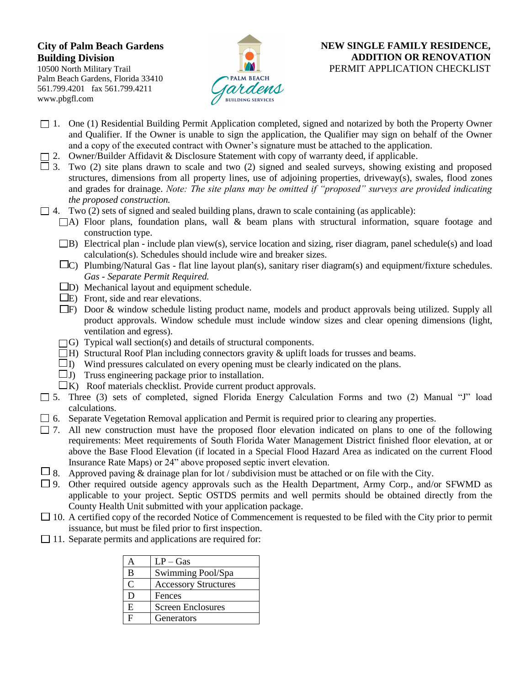## **City of Palm Beach Gardens Building Division**

10500 North Military Trail Palm Beach Gardens, Florida 33410 561.799.4201 fax 561.799.4211 www.pbgfl.com



## **NEW SINGLE FAMILY RESIDENCE, ADDITION OR RENOVATION**  PERMIT APPLICATION CHECKLIST

- 1. One (1) Residential Building Permit Application completed, signed and notarized by both the Property Owner and Qualifier. If the Owner is unable to sign the application, the Qualifier may sign on behalf of the Owner and a copy of the executed contract with Owner's signature must be attached to the application.
- $\Box$  2. Owner/Builder Affidavit & Disclosure Statement with copy of warranty deed, if applicable.
- $\Box$  3. Two (2) site plans drawn to scale and two (2) signed and sealed surveys, showing existing and proposed structures, dimensions from all property lines, use of adjoining properties, driveway(s), swales, flood zones and grades for drainage. *Note: The site plans may be omitted if "proposed" surveys are provided indicating the proposed construction.*
- $\Box$  4. Two (2) sets of signed and sealed building plans, drawn to scale containing (as applicable):
	- $\Box$ A) Floor plans, foundation plans, wall & beam plans with structural information, square footage and construction type.
	- $\Box$ B) Electrical plan include plan view(s), service location and sizing, riser diagram, panel schedule(s) and load calculation(s). Schedules should include wire and breaker sizes.
	- $\Box$ C) Plumbing/Natural Gas flat line layout plan(s), sanitary riser diagram(s) and equipment/fixture schedules. *Gas - Separate Permit Required.*
	- $\square$ D) Mechanical layout and equipment schedule.
	- $\Box$ E) Front, side and rear elevations.
	- F) Door & window schedule listing product name, models and product approvals being utilized. Supply all product approvals. Window schedule must include window sizes and clear opening dimensions (light, ventilation and egress).
	- $\Box$ G) Typical wall section(s) and details of structural components.
	- $\Box$  H) Structural Roof Plan including connectors gravity & uplift loads for trusses and beams.
	- $\Box$  I) Wind pressures calculated on every opening must be clearly indicated on the plans.
	- $\Box$  J) Truss engineering package prior to installation.
	- $\Box K$ ) Roof materials checklist. Provide current product approvals.
- $\Box$  5. Three (3) sets of completed, signed Florida Energy Calculation Forms and two (2) Manual "J" load calculations.
- $\Box$  6. Separate Vegetation Removal application and Permit is required prior to clearing any properties.
- $\Box$  7. All new construction must have the proposed floor elevation indicated on plans to one of the following requirements: Meet requirements of South Florida Water Management District finished floor elevation, at or above the Base Flood Elevation (if located in a Special Flood Hazard Area as indicated on the current Flood Insurance Rate Maps) or 24" above proposed septic invert elevation.
- $\Box$  8. Approved paving  $\&$  drainage plan for lot / subdivision must be attached or on file with the City.
- $\Box$  9. Other required outside agency approvals such as the Health Department, Army Corp., and/or SFWMD as applicable to your project. Septic OSTDS permits and well permits should be obtained directly from the County Health Unit submitted with your application package.
- $\Box$  10. A certified copy of the recorded Notice of Commencement is requested to be filed with the City prior to permit issuance, but must be filed prior to first inspection.
- $\Box$  11. Separate permits and applications are required for:

|   | $LP - Gas$                  |
|---|-----------------------------|
| B | Swimming Pool/Spa           |
| C | <b>Accessory Structures</b> |
| Ð | Fences                      |
| E | Screen Enclosures           |
| F | Generators                  |